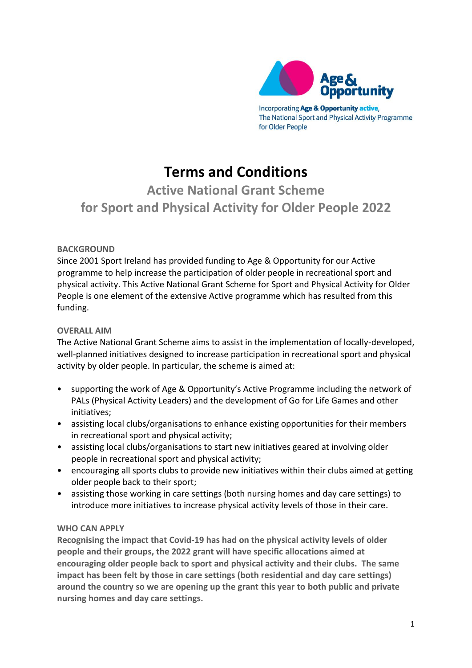

The National Sport and Physical Activity Programme for Older People

# **Terms and Conditions**

# **Active National Grant Scheme for Sport and Physical Activity for Older People 2022**

# **BACKGROUND**

Since 2001 Sport Ireland has provided funding to Age & Opportunity for our Active programme to help increase the participation of older people in recreational sport and physical activity. This Active National Grant Scheme for Sport and Physical Activity for Older People is one element of the extensive Active programme which has resulted from this funding.

# **OVERALL AIM**

The Active National Grant Scheme aims to assist in the implementation of locally-developed, well-planned initiatives designed to increase participation in recreational sport and physical activity by older people. In particular, the scheme is aimed at:

- supporting the work of Age & Opportunity's Active Programme including the network of PALs (Physical Activity Leaders) and the development of Go for Life Games and other initiatives;
- assisting local clubs/organisations to enhance existing opportunities for their members in recreational sport and physical activity;
- assisting local clubs/organisations to start new initiatives geared at involving older people in recreational sport and physical activity;
- encouraging all sports clubs to provide new initiatives within their clubs aimed at getting older people back to their sport;
- assisting those working in care settings (both nursing homes and day care settings) to introduce more initiatives to increase physical activity levels of those in their care.

# **WHO CAN APPLY**

**Recognising the impact that Covid-19 has had on the physical activity levels of older people and their groups, the 2022 grant will have specific allocations aimed at encouraging older people back to sport and physical activity and their clubs. The same impact has been felt by those in care settings (both residential and day care settings) around the country so we are opening up the grant this year to both public and private nursing homes and day care settings.**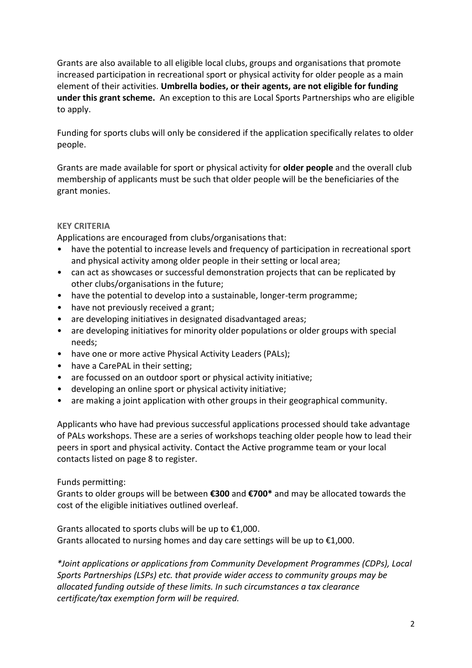Grants are also available to all eligible local clubs, groups and organisations that promote increased participation in recreational sport or physical activity for older people as a main element of their activities. **Umbrella bodies, or their agents, are not eligible for funding under this grant scheme.** An exception to this are Local Sports Partnerships who are eligible to apply.

Funding for sports clubs will only be considered if the application specifically relates to older people.

Grants are made available for sport or physical activity for **older people** and the overall club membership of applicants must be such that older people will be the beneficiaries of the grant monies.

# **KEY CRITERIA**

Applications are encouraged from clubs/organisations that:

- have the potential to increase levels and frequency of participation in recreational sport and physical activity among older people in their setting or local area;
- can act as showcases or successful demonstration projects that can be replicated by other clubs/organisations in the future;
- have the potential to develop into a sustainable, longer-term programme;
- have not previously received a grant;
- are developing initiatives in designated disadvantaged areas;
- are developing initiatives for minority older populations or older groups with special needs;
- have one or more active Physical Activity Leaders (PALs);
- have a CarePAL in their setting;
- are focussed on an outdoor sport or physical activity initiative;
- developing an online sport or physical activity initiative;
- are making a joint application with other groups in their geographical community.

Applicants who have had previous successful applications processed should take advantage of PALs workshops. These are a series of workshops teaching older people how to lead their peers in sport and physical activity. Contact the Active programme team or your local contacts listed on page 8 to register.

# Funds permitting:

Grants to older groups will be between **€300** and **€700\*** and may be allocated towards the cost of the eligible initiatives outlined overleaf.

Grants allocated to sports clubs will be up to €1,000. Grants allocated to nursing homes and day care settings will be up to  $\epsilon$ 1,000.

*\*Joint applications or applications from Community Development Programmes (CDPs), Local Sports Partnerships (LSPs) etc. that provide wider access to community groups may be allocated funding outside of these limits. In such circumstances a tax clearance certificate/tax exemption form will be required.*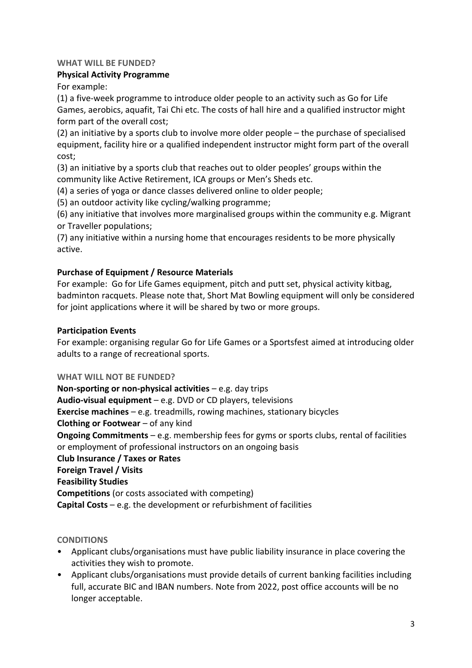#### **WHAT WILL BE FUNDED?**

#### **Physical Activity Programme**

For example:

(1) a five-week programme to introduce older people to an activity such as Go for Life Games, aerobics, aquafit, Tai Chi etc. The costs of hall hire and a qualified instructor might form part of the overall cost;

(2) an initiative by a sports club to involve more older people – the purchase of specialised equipment, facility hire or a qualified independent instructor might form part of the overall cost;

(3) an initiative by a sports club that reaches out to older peoples' groups within the community like Active Retirement, ICA groups or Men's Sheds etc.

(4) a series of yoga or dance classes delivered online to older people;

(5) an outdoor activity like cycling/walking programme;

(6) any initiative that involves more marginalised groups within the community e.g. Migrant or Traveller populations;

(7) any initiative within a nursing home that encourages residents to be more physically active.

# **Purchase of Equipment / Resource Materials**

For example: Go for Life Games equipment, pitch and putt set, physical activity kitbag, badminton racquets. Please note that, Short Mat Bowling equipment will only be considered for joint applications where it will be shared by two or more groups.

#### **Participation Events**

For example: organising regular Go for Life Games or a Sportsfest aimed at introducing older adults to a range of recreational sports.

#### **WHAT WILL NOT BE FUNDED?**

**Non-sporting or non-physical activities** – e.g. day trips **Audio-visual equipment** – e.g. DVD or CD players, televisions **Exercise machines** – e.g. treadmills, rowing machines, stationary bicycles **Clothing or Footwear** – of any kind **Ongoing Commitments** – e.g. membership fees for gyms or sports clubs, rental of facilities or employment of professional instructors on an ongoing basis **Club Insurance / Taxes or Rates Foreign Travel / Visits Feasibility Studies Competitions** (or costs associated with competing)

**Capital Costs** – e.g. the development or refurbishment of facilities

#### **CONDITIONS**

- Applicant clubs/organisations must have public liability insurance in place covering the activities they wish to promote.
- Applicant clubs/organisations must provide details of current banking facilities including full, accurate BIC and IBAN numbers. Note from 2022, post office accounts will be no longer acceptable.